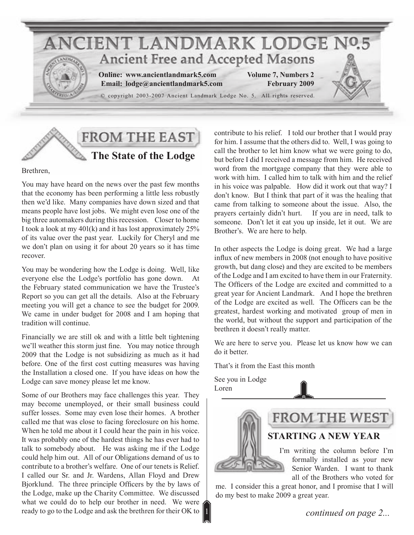



#### Brethren,

You may have heard on the news over the past few months that the economy has been performing a little less robustly then we'd like. Many companies have down sized and that means people have lost jobs. We might even lose one of the big three automakers during this recession. Closer to home I took a look at my 401(k) and it has lost approximately 25% of its value over the past year. Luckily for Cheryl and me we don't plan on using it for about 20 years so it has time recover.

You may be wondering how the Lodge is doing. Well, like everyone else the Lodge's portfolio has gone down. At the February stated communication we have the Trustee's Report so you can get all the details. Also at the February meeting you will get a chance to see the budget for 2009. We came in under budget for 2008 and I am hoping that tradition will continue.

Financially we are still ok and with a little belt tightening we'll weather this storm just fine. You may notice through 2009 that the Lodge is not subsidizing as much as it had before. One of the first cost cutting measures was having the Installation a closed one. If you have ideas on how the Lodge can save money please let me know.

Some of our Brothers may face challenges this year. They may become unemployed, or their small business could suffer losses. Some may even lose their homes. A brother called me that was close to facing foreclosure on his home. When he told me about it I could hear the pain in his voice. It was probably one of the hardest things he has ever had to talk to somebody about. He was asking me if the Lodge could help him out. All of our Obligations demand of us to contribute to a brother's welfare. One of our tenets is Relief. I called our Sr. and Jr. Wardens, Allan Floyd and Drew Bjorklund. The three principle Officers by the by laws of the Lodge, make up the Charity Committee. We discussed what we could do to help our brother in need. We were ready to go to the Lodge and ask the brethren for their OK to

contribute to his relief. I told our brother that I would pray for him. I assume that the others did to. Well, I was going to call the brother to let him know what we were going to do, but before I did I received a message from him. He received word from the mortgage company that they were able to work with him. I called him to talk with him and the relief in his voice was palpable. How did it work out that way? I don't know. But I think that part of it was the healing that came from talking to someone about the issue. Also, the prayers certainly didn't hurt. If you are in need, talk to someone. Don't let it eat you up inside, let it out. We are Brother's. We are here to help.

In other aspects the Lodge is doing great. We had a large influx of new members in 2008 (not enough to have positive growth, but dang close) and they are excited to be members of the Lodge and I am excited to have them in our Fraternity. The Officers of the Lodge are excited and committed to a great year for Ancient Landmark. And I hope the brethren of the Lodge are excited as well. The Officers can be the greatest, hardest working and motivated group of men in the world, but without the support and participation of the brethren it doesn't really matter.

We are here to serve you. Please let us know how we can do it better.

That's it from the East this month

See you in Lodge Loren

1





me. I consider this a great honor, and I promise that I will do my best to make 2009 a great year.

*continued on page 2...*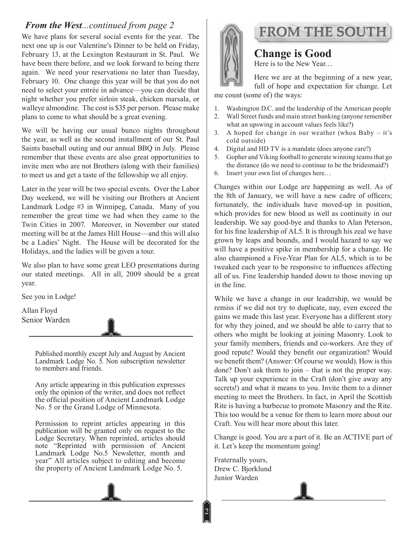#### *From the West...continued from page 2*

We have plans for several social events for the year. The next one up is our Valentine's Dinner to be held on Friday, February 13, at the Lexington Restaurant in St. Paul. We have been there before, and we look forward to being there again. We need your reservations no later than Tuesday, February 10. One change this year will be that you do not need to select your entrée in advance—you can decide that night whether you prefer sirloin steak, chicken marsala, or walleye almondine. The cost is \$35 per person. Please make plans to come to what should be a great evening.

We will be having our usual bunco nights throughout the year, as well as the second installment of our St. Paul Saints baseball outing and our annual BBQ in July. Please remember that these events are also great opportunities to invite men who are not Brothers (along with their families) to meet us and get a taste of the fellowship we all enjoy.

Later in the year will be two special events. Over the Labor Day weekend, we will be visiting our Brothers at Ancient Landmark Lodge #3 in Winnipeg, Canada. Many of you remember the great time we had when they came to the Twin Cities in 2007. Moreover, in November our stated meeting will be at the James Hill House—and this will also be a Ladies' Night. The House will be decorated for the Holidays, and the ladies will be given a tour.

We also plan to have some great LEO presentations during our stated meetings. All in all, 2009 should be a great year.

See you in Lodge!

Allan Floyd Senior Warden

> Published monthly except July and August by Ancient Landmark Lodge No. 5. Non subscription newsletter to members and friends.

> Any article appearing in this publication expresses only the opinion of the writer, and does not reflect the official position of Ancient Landmark Lodge No. 5 or the Grand Lodge of Minnesota.

> Permission to reprint articles appearing in this publication will be granted only on request to the Lodge Secretary. When reprinted, articles should note "Reprinted with permission of Ancient Landmark Lodge No.5 Newsletter, month and year" All articles subject to editing and become the property of Ancient Landmark Lodge No. 5.



## **FROM THE SOUTH**

**Change is Good** Here is to the New Year…

Here we are at the beginning of a new year, full of hope and expectation for change. Let me count (some of) the ways:

- Washington D.C. and the leadership of the American people Wall Street funds and main street banking (anyone remember 2. what an upswing in account values feels like?) 1.
- A hoped for change in our weather (whoa Baby it's 3. cold outside)
- Digital and HD TV is a mandate (does anyone care?) 4.
- Gopher and Viking football to generate winning teams that go the distance (do we need to continue to be the bridesmaid?) 5.
- Insert your own list of changes here… 6.

Changes within our Lodge are happening as well. As of the 8th of January, we will have a new cadre of officers; fortunately, the individuals have moved-up in position, which provides for new blood as well as continuity in our leadership. We say good-bye and thanks to Alan Peterson, for his fine leadership of AL5. It is through his zeal we have grown by leaps and bounds, and I would hazard to say we will have a positive spike in membership for a change. He also championed a Five-Year Plan for AL5, which is to be tweaked each year to be responsive to influences affecting all of us. Fine leadership handed down to those moving up in the line.

While we have a change in our leadership, we would be remiss if we did not try to duplicate, nay, even exceed the gains we made this last year. Everyone has a different story for why they joined, and we should be able to carry that to others who might be looking at joining Masonry. Look to your family members, friends and co-workers. Are they of good repute? Would they benefit our organization? Would we benefit them? (Answer: Of course we would). How is this done? Don't ask them to join – that is not the proper way. Talk up your experience in the Craft (don't give away any secrets!) and what it means to you. Invite them to a dinner meeting to meet the Brothers. In fact, in April the Scottish Rite is having a barbecue to promote Masonry and the Rite. This too would be a venue for them to learn more about our Craft. You will hear more about this later.

Change is good. You are a part of it. Be an ACTIVE part of it. Let's keep the momentum going!

Fraternally yours, Drew C. Bjorklund Junior Warden

2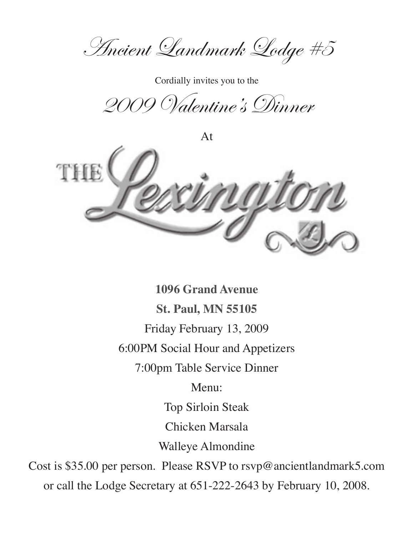Ancient Landmark Lodge #5

Cordially invites you to the

2009 Valentine's Dinner

At



**1096 Grand Avenue St. Paul, MN 55105** Friday February 13, 2009 6:00PM Social Hour and Appetizers 7:00pm Table Service Dinner Menu: Top Sirloin Steak Chicken Marsala Walleye Almondine Cost is \$35.00 per person. Please RSVP to rsvp@ancientlandmark5.com or call the Lodge Secretary at 651-222-2643 by February 10, 2008.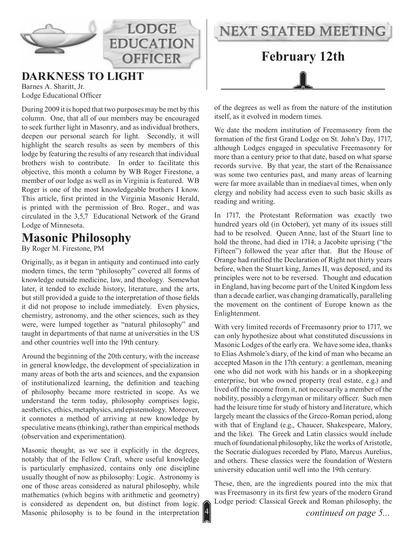

## **DARKNESS TO LIGHT**

Barnes A. Sharitt, Jr. Lodge Educational Officer

During 2009 it is hoped that two purposes may be met by this column. One, that all of our members may be encouraged to seek further light in Masonry, and as individual brothers, deepen our personal search for light. Secondly, it will highlight the search results as seen by members of this lodge by featuring the results of any research that individual brothers wish to contribute. In order to facilitate this objective, this month a column by WB Roger Firestone, a member of our lodge as well as in Virginia is featured. WB Roger is one of the most knowledgeable brothers I know. This article, first printed in the Virginia Masonic Herald, is printed with the permission of Bro. Roger., and was circulated in the 3,5,7 Educational Network of the Grand Lodge of Minnesota.

**LODGE** 

**EDUCATION** 

**OFFICER** 

### **Masonic Philosophy**

By Roger M. Firestone, PM

Originally, as it began in antiquity and continued into early modern times, the term "philosophy" covered all forms of knowledge outside medicine, law, and theology. Somewhat later, it tended to exclude history, literature, and the arts, but still provided a guide to the interpretation of those fields it did not propose to include immediately. Even physics, chemistry, astronomy, and the other sciences, such as they were, were lumped together as "natural philosophy" and taught in departments of that name at universities in the US and other countries well into the 19th century.

Around the beginning of the 20th century, with the increase in general knowledge, the development of specialization in many areas of both the arts and sciences, and the expansion of institutionalized learning, the definition and teaching of philosophy became more restricted in scope. As we understand the term today, philosophy comprises logic, aesthetics, ethics, metaphysics, and epistemology. Moreover, it connotes a method of arriving at new knowledge by speculative means (thinking), rather than empirical methods (observation and experimentation).

Masonic thought, as we see it explicitly in the degrees, notably that of the Fellow Craft, where useful knowledge is particularly emphasized, contains only one discipline usually thought of now as philosophy: Logic. Astronomy is one of those areas considered as natural philosophy, while mathematics (which begins with arithmetic and geometry) is considered as dependent on, but distinct from logic. Masonic philosophy is to be found in the interpretation



of the degrees as well as from the nature of the institution itself, as it evolved in modern times.

We date the modern institution of Freemasonry from the formation of the first Grand Lodge on St. John's Day, 1717, although Lodges engaged in speculative Freemasonry for more than a century prior to that date, based on what sparse records survive. By that year, the start of the Renaissance was some two centuries past, and many areas of learning were far more available than in mediaeval times, when only clergy and nobility had access even to such basic skills as reading and writing.

In 1717, the Protestant Reformation was exactly two hundred years old (in October), yet many of its issues still had to be resolved. Queen Anne, last of the Stuart line to hold the throne, had died in 1714; a Jacobite uprising ("the Fifteen") followed the year after that. But the House of Orange had ratified the Declaration of Right not thirty years before, when the Stuart king, James II, was deposed, and its principles were not to be reversed. Thought and education in England, having become part of the United Kingdom less than a decade earlier, was changing dramatically, paralleling the movement on the continent of Europe known as the Enlightenment.

With very limited records of Freemasonry prior to 1717, we can only hypothesize about what constituted discussions in Masonic Lodges of the early era. We have some idea, thanks to Elias Ashmole's diary, of the kind of man who became an accepted Mason in the 17th century: a gentleman, meaning one who did not work with his hands or in a shopkeeping enterprise, but who owned property (real estate, e.g.) and lived off the income from it, not necessarily a member of the nobility, possibly a clergyman or military officer. Such men had the leisure time for study of history and literature, which largely meant the classics of the Greco-Roman period, along with that of England (e.g., Chaucer, Shakespeare, Malory, and the like). The Greek and Latin classics would include much of foundational philosophy, like the works of Aristotle, the Socratic dialogues recorded by Plato, Marcus Aurelius, and others. These classics were the foundation of Western university education until well into the 19th century.

These, then, are the ingredients poured into the mix that was Freemasonry in its first few years of the modern Grand Lodge period: Classical Greek and Roman philosophy, the

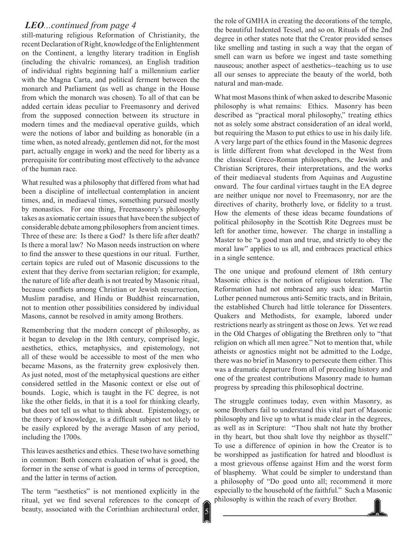#### *LEO...continued from page 4*

still-maturing religious Reformation of Christianity, the recent Declaration of Right, knowledge of the Enlightenment on the Continent, a lengthy literary tradition in English (including the chivalric romances), an English tradition of individual rights beginning half a millennium earlier with the Magna Carta, and political ferment between the monarch and Parliament (as well as change in the House from which the monarch was chosen). To all of that can be added certain ideas peculiar to Freemasonry and derived from the supposed connection between its structure in modern times and the mediaeval operative guilds, which were the notions of labor and building as honorable (in a time when, as noted already, gentlemen did not, for the most part, actually engage in work) and the need for liberty as a prerequisite for contributing most effectively to the advance of the human race.

What resulted was a philosophy that differed from what had been a discipline of intellectual contemplation in ancient times, and, in mediaeval times, something pursued mostly by monastics. For one thing, Freemasonry's philosophy takes as axiomatic certain issues that have been the subject of considerable debate among philosophers from ancient times. Three of these are: Is there a God? Is there life after death? Is there a moral law? No Mason needs instruction on where to find the answer to these questions in our ritual. Further, certain topics are ruled out of Masonic discussions to the extent that they derive from sectarian religion; for example, the nature of life after death is not treated by Masonic ritual, because conflicts among Christian or Jewish resurrection, Muslim paradise, and Hindu or Buddhist reincarnation, not to mention other possibilities considered by individual Masons, cannot be resolved in amity among Brothers.

Remembering that the modern concept of philosophy, as it began to develop in the 18th century, comprised logic, aesthetics, ethics, metaphysics, and epistemology, not all of these would be accessible to most of the men who became Masons, as the fraternity grew explosively then. As just noted, most of the metaphysical questions are either considered settled in the Masonic context or else out of bounds. Logic, which is taught in the FC degree, is not like the other fields, in that it is a tool for thinking clearly, but does not tell us what to think about. Epistemology, or the theory of knowledge, is a difficult subject not likely to be easily explored by the average Mason of any period, including the 1700s.

This leaves aesthetics and ethics. These two have something in common: Both concern evaluation of what is good, the former in the sense of what is good in terms of perception, and the latter in terms of action.

The term "aesthetics" is not mentioned explicitly in the ritual, yet we find several references to the concept of beauty, associated with the Corinthian architectural order,

the role of GMHA in creating the decorations of the temple, the beautiful Indented Tessel, and so on. Rituals of the 2nd degree in other states note that the Creator provided senses like smelling and tasting in such a way that the organ of smell can warn us before we ingest and taste something nauseous; another aspect of aesthetics--teaching us to use all our senses to appreciate the beauty of the world, both natural and man-made.

What most Masons think of when asked to describe Masonic philosophy is what remains: Ethics. Masonry has been described as "practical moral philosophy," treating ethics not as solely some abstract consideration of an ideal world, but requiring the Mason to put ethics to use in his daily life. A very large part of the ethics found in the Masonic degrees is little different from what developed in the West from the classical Greco-Roman philosophers, the Jewish and Christian Scriptures, their interpretations, and the works of their mediaeval students from Aquinas and Augustine onward. The four cardinal virtues taught in the EA degree are neither unique nor novel to Freemasonry, nor are the directives of charity, brotherly love, or fidelity to a trust. How the elements of these ideas became foundations of political philosophy in the Scottish Rite Degrees must be left for another time, however. The charge in installing a Master to be "a good man and true, and strictly to obey the moral law" applies to us all, and embraces practical ethics in a single sentence.

The one unique and profound element of 18th century Masonic ethics is the notion of religious toleration. The Reformation had not embraced any such idea: Martin Luther penned numerous anti-Semitic tracts, and in Britain, the established Church had little tolerance for Dissenters. Quakers and Methodists, for example, labored under restrictions nearly as stringent as those on Jews. Yet we read in the Old Charges of obligating the Brethren only to "that religion on which all men agree." Not to mention that, while atheists or agnostics might not be admitted to the Lodge, there was no brief in Masonry to persecute them either. This was a dramatic departure from all of preceding history and one of the greatest contributions Masonry made to human progress by spreading this philosophical doctrine.

The struggle continues today, even within Masonry, as some Brothers fail to understand this vital part of Masonic philosophy and live up to what is made clear in the degrees, as well as in Scripture: "Thou shalt not hate thy brother in thy heart, but thou shalt love thy neighbor as thyself." To use a difference of opinion in how the Creator is to be worshipped as justification for hatred and bloodlust is a most grievous offense against Him and the worst form of blasphemy. What could be simpler to understand than a philosophy of "Do good unto all; recommend it more especially to the household of the faithful." Such a Masonic philosophy is within the reach of every Brother.